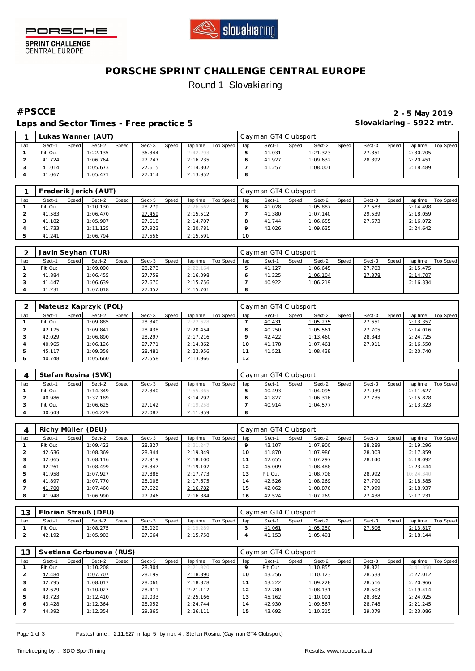



**SPRINT CHALLENGE**<br>CENTRAL EUROPE

## **PORSCHE SPRINT CHALLENGE CENTRAL EUROPE** Round 1 Slovakiaring

**Laps and Sector Times - Free practice 5 Slovakiaring - 5922 mtr.**

**#PSCCE 2 - 5 May 2019**

|     |         |       | Lukas Wanner (AUT) |       |        |       |          |           |     | Cayman GT4 Clubsport |       |          |         |        |       |          |           |
|-----|---------|-------|--------------------|-------|--------|-------|----------|-----------|-----|----------------------|-------|----------|---------|--------|-------|----------|-----------|
| lap | Sect-1  | Speed | Sect-2             | Speed | Sect-3 | Speed | lap time | Top Speed | lap | Sect-1               | Speed | Sect-2   | Speed i | Sect-3 | Speed | lap time | Top Speed |
|     | Pit Out |       | 1:22.135           |       | 36.344 |       | 2:42.293 |           |     | 41.031               |       | 1:21.323 |         | 27.851 |       | 2:30.205 |           |
|     | 41.724  |       | :06.764            |       | 27.747 |       | 2:16.235 |           |     | 41.927               |       | 1:09.632 |         | 28.892 |       | 2:20.451 |           |
|     | 41.014  |       | :05.673            |       | 27.615 |       | 2:14.302 |           |     | 41.257               |       | 1:08.001 |         |        |       | 2:18.489 |           |
|     | 41.067  |       | :05.471            |       | 27.414 |       | 2:13.952 |           | 8   |                      |       |          |         |        |       |          |           |

|     |         |       | Frederik Jerich (AUT) |       |        |       |          |           |     | Cayman GT4 Clubsport |         |          |       |        |       |          |           |
|-----|---------|-------|-----------------------|-------|--------|-------|----------|-----------|-----|----------------------|---------|----------|-------|--------|-------|----------|-----------|
| lap | Sect-1  | Speed | Sect-2                | Speed | Sect-3 | Speed | lap time | Top Speed | lap | Sect-1               | Speed I | Sect-2   | Speed | Sect-3 | Speed | lap time | Top Speed |
|     | Pit Out |       | 1:10.130              |       | 28.279 |       | 2:26.562 |           |     | 41.028               |         | 1:05.887 |       | 27.583 |       | 2:14.498 |           |
|     | 41.583  |       | 1:06.470              |       | 27.459 |       | 2:15.512 |           |     | 41.380               |         | 1:07.140 |       | 29.539 |       | 2:18.059 |           |
|     | 41.182  |       | 1:05.907              |       | 27.618 |       | 2:14.707 |           |     | 41.744               |         | 1:06.655 |       | 27.673 |       | 2:16.072 |           |
|     | 41.733  |       | 1:11.125              |       | 27.923 |       | 2:20.781 |           |     | 42.026               |         | 1:09.635 |       |        |       | 2:24.642 |           |
|     | 41.241  |       | 1:06.794              |       | 27.556 |       | 2:15.591 |           | 10  |                      |         |          |       |        |       |          |           |

|     |         |       | Javin Seyhan (TUR) |       |        |       |          |           |     | Cayman GT4 Clubsport |       |          |       |        |       |          |           |
|-----|---------|-------|--------------------|-------|--------|-------|----------|-----------|-----|----------------------|-------|----------|-------|--------|-------|----------|-----------|
| lap | Sect-1  | Speed | Sect-2             | Speed | Sect-3 | Speed | lap time | Top Speed | lap | Sect-1               | Speed | Sect-2   | Speed | Sect-3 | Speed | lap time | Top Speed |
|     | Pit Out |       | 1:09.090           |       | 28.273 |       | 2:22.164 |           |     | 41.127               |       | 1:06.645 |       | 27.703 |       | 2:15.475 |           |
|     | 41.884  |       | 1:06.455           |       | 27.759 |       | 2:16.098 |           |     | 41.225               |       | 1:06.104 |       | 27.378 |       | 2:14.707 |           |
|     | 41.447  |       | 1:06.639           |       | 27.670 |       | 2:15.756 |           |     | 40.922               |       | 1:06.219 |       |        |       | 2:16.334 |           |
|     | 41.231  |       | 1:07.018           |       | 27.452 |       | 2:15.701 |           |     |                      |       |          |       |        |       |          |           |

|     |         |       | Mateusz Kaprzyk (POL) |       |        |       |          |           |                 | Cayman GT4 Clubsport |       |          |       |        |       |          |           |
|-----|---------|-------|-----------------------|-------|--------|-------|----------|-----------|-----------------|----------------------|-------|----------|-------|--------|-------|----------|-----------|
| lap | Sect-1  | Speed | Sect-2                | Speed | Sect-3 | Speed | lap time | Top Speed | lap             | Sect-1               | Speed | Sect-2   | Speed | Sect-3 | Speed | lap time | Top Speed |
|     | Pit Out |       | 1:09.885              |       | 28.340 |       | 2:22.628 |           |                 | 40.431               |       | 1:05.275 |       | 27.651 |       | 2:13.357 |           |
|     | 42.175  |       | 1:09.841              |       | 28.438 |       | 2:20.454 |           |                 | 40.750               |       | 1:05.561 |       | 27.705 |       | 2:14.016 |           |
|     | 42.029  |       | 1:06.890              |       | 28.297 |       | 2:17.216 |           |                 | 42.422               |       | 1:13.460 |       | 28.843 |       | 2:24.725 |           |
|     | 40.965  |       | 1:06.126              |       | 27.771 |       | 2:14.862 |           | 10 <sup>°</sup> | 41.178               |       | 1:07.461 |       | 27.911 |       | 2:16.550 |           |
|     | 45.117  |       | 1:09.358              |       | 28.481 |       | 2:22.956 |           |                 | 41.521               |       | 1:08.438 |       |        |       | 2:20.740 |           |
|     | 40.748  |       | 1:05.660              |       | 27.558 |       | 2:13.966 |           | 12              |                      |       |          |       |        |       |          |           |

|     |         |       | Stefan Rosina (SVK) |       |        |       |          |           |     | Cayman GT4 Clubsport |         |          |       |        |       |          |           |
|-----|---------|-------|---------------------|-------|--------|-------|----------|-----------|-----|----------------------|---------|----------|-------|--------|-------|----------|-----------|
| lap | Sect-1  | Speed | Sect-2              | Speed | Sect-3 | Speed | lap time | Top Speed | lap | Sect-1               | Speed I | Sect-2   | Speed | Sect-3 | Speed | lap time | Top Speed |
|     | Pit Out |       | 1:14.349            |       | 27.340 |       | 2:55.365 |           |     | 40.493               |         | 1:04.095 |       | 27.039 |       | 2:11.627 |           |
|     | 40.986  |       | 1:37.189            |       |        |       | 3:14.297 |           |     | 41.827               |         | 1:06.316 |       | 27.735 |       | 2:15.878 |           |
|     | Pit Out |       | 1:06.625            |       | 27.142 |       | 7:19.258 |           |     | 40.914               |         | 1:04.577 |       |        |       | 2:13.323 |           |
|     | 40.643  |       | 1:04.229            |       | 27.087 |       | 2:11.959 |           | 8   |                      |         |          |       |        |       |          |           |

|     | Richy Müller (DEU) |       |          |       |        |       |          |           |      | Cayman GT4 Clubsport |       |          |       |        |       |           |           |
|-----|--------------------|-------|----------|-------|--------|-------|----------|-----------|------|----------------------|-------|----------|-------|--------|-------|-----------|-----------|
| lap | Sect-1             | Speed | Sect-2   | Speed | Sect-3 | Speed | lap time | Top Speed | lap  | Sect-1               | Speed | Sect-2   | Speed | Sect-3 | Speed | lap time  | Top Speed |
|     | Pit Out            |       | 1:09.422 |       | 28.327 |       | 2:21.247 |           |      | 43.107               |       | 1:07.900 |       | 28.289 |       | 2:19.296  |           |
|     | 42.636             |       | : 08.369 |       | 28.344 |       | 2:19.349 |           | 10   | 41.870               |       | 1:07.986 |       | 28.003 |       | 2:17.859  |           |
| - 5 | 42.065             |       | 1:08.116 |       | 27.919 |       | 2:18.100 |           |      | 42.655               |       | 1:07.297 |       | 28.140 |       | 2:18.092  |           |
| 4   | 42.261             |       | :08.499  |       | 28.347 |       | 2:19.107 |           | 12   | 45.009               |       | 1:08.488 |       |        |       | 2:23.444  |           |
| 5   | 41.958             |       | 1:07.927 |       | 27.888 |       | 2:17.773 |           | 3    | Pit Out              |       | 1:08.708 |       | 28.992 |       | 10:24.340 |           |
| 6   | 41.897             |       | 1:07.770 |       | 28,008 |       | 2:17.675 |           | 14   | 42.526               |       | 1:08.269 |       | 27.790 |       | 2:18.585  |           |
|     | 41.700             |       | 1:07.460 |       | 27.622 |       | 2:16.782 |           | í 5. | 42.062               |       | 1:08.876 |       | 27.999 |       | 2:18.937  |           |
| 8   | 41.948             |       | 1:06.990 |       | 27.946 |       | 2:16.884 |           | 16   | 42.524               |       | 1:07.269 |       | 27.438 |       | 2:17.231  |           |

| $\sim$ |         |       | Florian Strauß (DEU) |              |        |       |          |           |     | Cayman GT4 Clubsport |       |                 |       |        |       |          |           |
|--------|---------|-------|----------------------|--------------|--------|-------|----------|-----------|-----|----------------------|-------|-----------------|-------|--------|-------|----------|-----------|
| lap    | Sect-1  | Speed | Sect-2               | <b>Speed</b> | Sect-3 | Speed | lap time | Top Speed | lap | Sect-                | Speed | Sect-2          | Speed | Sect-3 | Speed | lap time | Top Speed |
|        | Pit Out |       | 1:08.275             |              | 28.029 |       | 2:19.289 |           |     | 41.061               |       | <u>l:05.250</u> |       | 27.506 |       | 2:13.817 |           |
|        | 42.192  |       | 1:05.902             |              | 27.664 |       | 2:15.758 |           |     | 41.153               |       | 1:05.491        |       |        |       | 2:18.144 |           |

| 13  |         |       | Svetlana Gorbunova (RUS) |       |        |       |          |           |     | Cayman GT4 Clubsport |       |          |       |        |       |          |           |
|-----|---------|-------|--------------------------|-------|--------|-------|----------|-----------|-----|----------------------|-------|----------|-------|--------|-------|----------|-----------|
| lap | Sect-1  | Speed | Sect-2                   | Speed | Sect-3 | Speed | lap time | Top Speed | lap | Sect-1               | Speed | Sect-2   | Speed | Sect-3 | Speed | lap time | Top Speed |
|     | Pit Out |       | 1:10.208                 |       | 28.304 |       | 2:21.920 |           |     | Pit Out              |       | 1:10.855 |       | 28.821 |       | 3:41.350 |           |
|     | 42.484  |       | 1:07.707                 |       | 28.199 |       | 2:18.390 |           | 10  | 43.256               |       | 1:10.123 |       | 28.633 |       | 2:22.012 |           |
| 3   | 42.795  |       | 1:08.017                 |       | 28.066 |       | 2:18.878 |           |     | 43.222               |       | 1:09.228 |       | 28.516 |       | 2:20.966 |           |
|     | 42.679  |       | 1:10.027                 |       | 28.411 |       | 2:21.117 |           | 12  | 42.780               |       | 1:08.131 |       | 28.503 |       | 2:19.414 |           |
| 5   | 43.723  |       | 1:12.410                 |       | 29.033 |       | 2:25.166 |           | 13  | 45.162               |       | 1:10.001 |       | 28.862 |       | 2:24.025 |           |
| 6   | 43.428  |       | 1:12.364                 |       | 28.952 |       | 2:24.744 |           | 14  | 42.930               |       | 1:09.567 |       | 28.748 |       | 2:21.245 |           |
|     | 44.392  |       | 1:12.354                 |       | 29.365 |       | 2:26.111 |           | 15. | 43.692               |       | 1:10.315 |       | 29.079 |       | 2:23.086 |           |

Page 1 of 3 Fastest time: 2:11.627 in lap 5 by nbr. 4 : Stef an Rosina (Cay man GT4 Clubsport)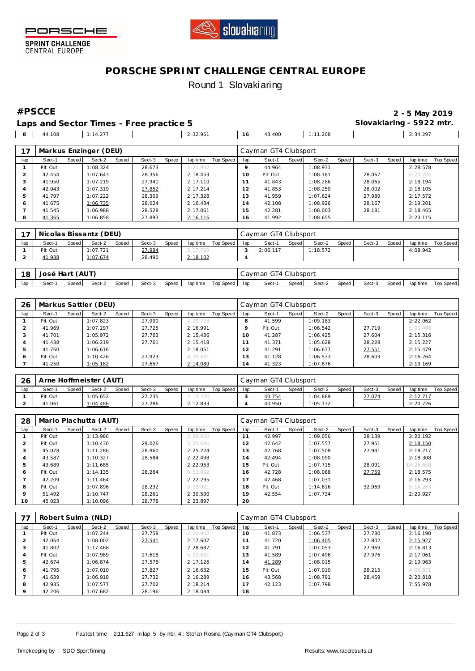



SPRINT CHALLENGE<br>CENTRAL EUROPE

# **PORSCHE SPRINT CHALLENGE CENTRAL EUROPE** Round 1 Slovakiaring

**#PSCCE 2 - 5 May 2019**

|  | Laps and Sector Times - Free practice 5 |  |  | Slovakiaring - 5922 mtr. |          |
|--|-----------------------------------------|--|--|--------------------------|----------|
|  |                                         |  |  |                          | 2:34.297 |
|  |                                         |  |  |                          |          |

| 17  |         |       | Markus Enzinger (DEU) |       |        |       |          |           |                 | Cayman GT4 Clubsport |       |          |       |        |       |          |           |
|-----|---------|-------|-----------------------|-------|--------|-------|----------|-----------|-----------------|----------------------|-------|----------|-------|--------|-------|----------|-----------|
| lap | Sect-1  | Speed | Sect-2                | Speed | Sect-3 | Speed | lap time | Top Speed | lap             | Sect-1               | Speed | Sect-2   | Speed | Sect-3 | Speed | lap time | Top Speed |
|     | Pit Out |       | 1:08.324              |       | 28.673 |       | 2:21.942 |           | $\circ$         | 44.964               |       | 1:08.931 |       |        |       | 2:28.578 |           |
|     | 42.454  |       | 1:07.643              |       | 28.356 |       | 2:18.453 |           | 10 <sup>°</sup> | Pit Out              |       | 1:08.181 |       | 28.067 |       | 6:20.704 |           |
|     | 41.950  |       | 1:07.219              |       | 27.941 |       | 2:17.110 |           |                 | 41.843               |       | 1:08.286 |       | 28.065 |       | 2:18.194 |           |
|     | 42.043  |       | 1:07.319              |       | 27.852 |       | 2:17.214 |           | 12              | 41.853               |       | 1:08.250 |       | 28.002 |       | 2:18.105 |           |
|     | 41.797  |       | 1:07.222              |       | 28.309 |       | 2:17.328 |           | 13              | 41.959               |       | 1:07.624 |       | 27.989 |       | 2:17.572 |           |
| 6   | 41.675  |       | 1:06.735              |       | 28.024 |       | 2:16.434 |           | $\overline{4}$  | 42.108               |       | 1:08.926 |       | 28.167 |       | 2:19.201 |           |
|     | 41.545  |       | 1:06.988              |       | 28.528 |       | 2:17.061 |           | 15              | 42.281               |       | 1:08.003 |       | 28.181 |       | 2:18.465 |           |
| 8   | 41.365  |       | 1:06.858              |       | 27.893 |       | 2:16.116 |           | 6               | 41.992               |       | 1:08.655 |       |        |       | 2:23.115 |           |

| 77  |         |              | Nicolas Bissantz (DEU) |       |        |       |          |           |     | Cayman GT4 Clubsport |       |          |       |        |       |          |           |
|-----|---------|--------------|------------------------|-------|--------|-------|----------|-----------|-----|----------------------|-------|----------|-------|--------|-------|----------|-----------|
| lap | Sect-1  | <b>Speed</b> | Sect-2                 | Speed | Sect-3 | Speed | lap time | Top Speed | lap | Sect-1               | Speed | Sect-2   | Speed | Sect-3 | Speed | lap time | Top Speed |
|     | Pit Out |              | 1:07.721               |       | 27.994 |       | 2:17.700 |           |     | 2:06.117             |       | 1:18.572 |       |        |       | 4:08.942 |           |
|     | 41.938  |              | <u>.: 07.674</u>       |       | 28.490 |       | 2:18.102 |           | 4   |                      |       |          |       |        |       |          |           |

| 18  | José Hart (AUT)                                                                        |  |  |  |  |  |  |  | Cayman GT4 Clubsport |        |       |        |         |        |       |          |           |
|-----|----------------------------------------------------------------------------------------|--|--|--|--|--|--|--|----------------------|--------|-------|--------|---------|--------|-------|----------|-----------|
| lap | Speed<br>Top Speed I lap<br>Speed  <br>Sect-3<br>Speed<br>Sect-2<br>lap time<br>Sect-1 |  |  |  |  |  |  |  |                      | Sect-1 | Speed | Sect-2 | Speed I | Sect-3 | Speed | lap time | Top Speed |

| 26      |         |       | Markus Sattler (DEU) |       |        |       |          |           | Cayman GT4 Clubsport |         |         |          |       |        |       |          |           |  |
|---------|---------|-------|----------------------|-------|--------|-------|----------|-----------|----------------------|---------|---------|----------|-------|--------|-------|----------|-----------|--|
| lap     | Sect-1  | Speed | Sect-2               | Speed | Sect-3 | Speed | lap time | Top Speed | lap                  | Sect-1  | Speed I | Sect-2   | Speed | Sect-3 | Speed | lap time | Top Speed |  |
|         | Pit Out |       | 1:07.823             |       | 27.990 |       | 2:20.793 |           | 8                    | 41.599  |         | 1:09.183 |       |        |       | 2:22.062 |           |  |
|         | 41.969  |       | 1:07.297             |       | 27.725 |       | 2:16.991 |           |                      | Pit Out |         | 1:06.542 |       | 27.719 |       | 5:00.496 |           |  |
| $\cdot$ | 41.701  |       | 1:05.972             |       | 27.763 |       | 2:15.436 |           | $10^{-}$             | 41.287  |         | 1:06.425 |       | 27.604 |       | 2:15.316 |           |  |
| 4       | 41.438  |       | 1:06.219             |       | 27.761 |       | 2:15.418 |           |                      | 41.371  |         | 1:05.628 |       | 28.228 |       | 2:15.227 |           |  |
| b.      | 41.760  |       | 1:06.616             |       |        |       | 2:18.051 |           | 12                   | 41.291  |         | 1:06.637 |       | 27.551 |       | 2:15.479 |           |  |
| O       | Pit Out |       | 1:10.426             |       | 27.923 |       | 6:30.441 |           | 3                    | 41.128  |         | 1:06.533 |       | 28.603 |       | 2:16.264 |           |  |
|         | 41.250  |       | 1:05.182             |       | 27.657 |       | 2:14.089 |           | 4                    | 41.323  |         | 1:07.876 |       |        |       | 2:19.169 |           |  |

| 26  | Arne Hoffmeister (AUT) |       |          |       |        |       |          |           |     | Cayman GT4 Clubsport |       |          |       |        |       |          |           |  |  |
|-----|------------------------|-------|----------|-------|--------|-------|----------|-----------|-----|----------------------|-------|----------|-------|--------|-------|----------|-----------|--|--|
| lap | Sect-1                 | Speed | Sect-2   | Speed | Sect-3 | Speed | lap time | Top Speed | lap | Sect-                | Speed | Sect-2   | Speed | Sect-3 | Speed | lap time | Top Speed |  |  |
|     | Pit Out                |       | 1:05.652 |       | 27.235 |       | 2:14.276 |           |     | 40.754               |       | 1:04.889 |       | 27.074 |       | 2:12.717 |           |  |  |
|     | 41.061                 |       | 1:04.486 |       | 27.286 |       | 2:12.833 |           |     | 40.950               |       | 1:05.132 |       |        |       | 2:20.726 |           |  |  |

| 28      | Mario Plachutta (AUT) |       |          |       |        |       |          |           |                | Cayman GT4 Clubsport |       |          |       |        |       |           |           |  |  |
|---------|-----------------------|-------|----------|-------|--------|-------|----------|-----------|----------------|----------------------|-------|----------|-------|--------|-------|-----------|-----------|--|--|
| lap     | Sect-1                | Speed | Sect-2   | Speed | Sect-3 | Speed | lap time | Top Speed | lap            | Sect-1               | Speed | Sect-2   | Speed | Sect-3 | Speed | lap time  | Top Speed |  |  |
|         | Pit Out               |       | 1:13.986 |       |        |       | 2:29.060 |           | 11             | 42.997               |       | 1:09.056 |       | 28.139 |       | 2:20.192  |           |  |  |
|         | Pit Out               |       | 1:10.430 |       | 29.026 |       | 3:35.696 |           | 12             | 42.642               |       | 1:07.557 |       | 27.951 |       | 2:18.150  |           |  |  |
|         | 45.078                |       | 1:11.286 |       | 28.860 |       | 2:25.224 |           | 3              | 42.768               |       | 1:07.508 |       | 27.941 |       | 2:18.217  |           |  |  |
|         | 43.587                |       | 1:10.327 |       | 28.584 |       | 2:22.498 |           | $\overline{4}$ | 42.494               |       | 1:08.090 |       |        |       | 2:18.308  |           |  |  |
| b       | 43.689                |       | 1:11.685 |       |        |       | 2:22.953 |           | 5              | Pit Out              |       | 1:07.715 |       | 28.091 |       | 18:26.658 |           |  |  |
| 6       | Pit Out               |       | 1:14.135 |       | 28.264 |       | 6:53.092 |           | 16             | 42.728               |       | 1:08.088 |       | 27.759 |       | 2:18.575  |           |  |  |
|         | 42.209                |       | 1:11.464 |       |        |       | 2:22.295 |           | 17             | 42.468               |       | 1:07.031 |       |        |       | 2:16.293  |           |  |  |
| 8       | Pit Out               |       | 1:07.896 |       | 28.232 |       | 3:32.921 |           | 18             | Pit Out              |       | 1:14.616 |       | 32.969 |       | 5:14.263  |           |  |  |
| $\circ$ | 51.492                |       | 1:10.747 |       | 28.261 |       | 2:30.500 |           | 19             | 42.554               |       | 1:07.734 |       |        |       | 2:20.927  |           |  |  |
| 10      | 45.023                |       | 1:10.096 |       | 28.778 |       | 2:23.897 |           | 20             |                      |       |          |       |        |       |           |           |  |  |

|         | Robert Sulma (NLD) |       |          |       |        |       |          |           |     | Cayman GT4 Clubsport |       |          |       |        |       |          |                  |  |
|---------|--------------------|-------|----------|-------|--------|-------|----------|-----------|-----|----------------------|-------|----------|-------|--------|-------|----------|------------------|--|
| lap     | Sect-1             | Speed | Sect-2   | Speed | Sect-3 | Speed | lap time | Top Speed | lap | Sect-1               | Speed | Sect-2   | Speed | Sect-3 | Speed | lap time | <b>Top Speed</b> |  |
|         | Pit Out            |       | 1:07.244 |       | 27.758 |       | 2:20.942 |           | 10  | 41.873               |       | 1:06.537 |       | 27.780 |       | 2:16.190 |                  |  |
|         | 42.064             |       | 1:08.002 |       | 27.541 |       | 2:17.607 |           |     | 41.720               |       | 1:06.405 |       | 27.802 |       | 2:15.927 |                  |  |
| 3       | 41.802             |       | 1:17.468 |       |        |       | 2:28.687 |           | 12  | 41.791               |       | 1:07.053 |       | 27.969 |       | 2:16.813 |                  |  |
| 4       | Pit Out            |       | 1:07.989 |       | 27.618 |       | 5:29.681 |           | 13  | 41.589               |       | 1:07.496 |       | 27.976 |       | 2:17.061 |                  |  |
| 5       | 42.674             |       | 1:06.874 |       | 27.578 |       | 2:17.126 |           | 14  | 41.289               |       | 1:08.015 |       |        |       | 2:19.963 |                  |  |
| 6       | 41.795             |       | 1:07.010 |       | 27.827 |       | 2:16.632 |           | 15  | Pit Out              |       | 1:07.910 |       | 28.215 |       | 4:06.871 |                  |  |
|         | 41.639             |       | 1:06.918 |       | 27.732 |       | 2:16.289 |           | 16  | 43.568               |       | 1:08.791 |       | 28.459 |       | 2:20.818 |                  |  |
| 8       | 42.935             |       | 1:07.577 |       | 27.702 |       | 2:18.214 |           | 17  | 42.123               |       | 1:07.798 |       |        |       | 7:55.978 |                  |  |
| $\circ$ | 42.206             |       | 1:07.682 |       | 28.196 |       | 2:18.084 |           | 18  |                      |       |          |       |        |       |          |                  |  |